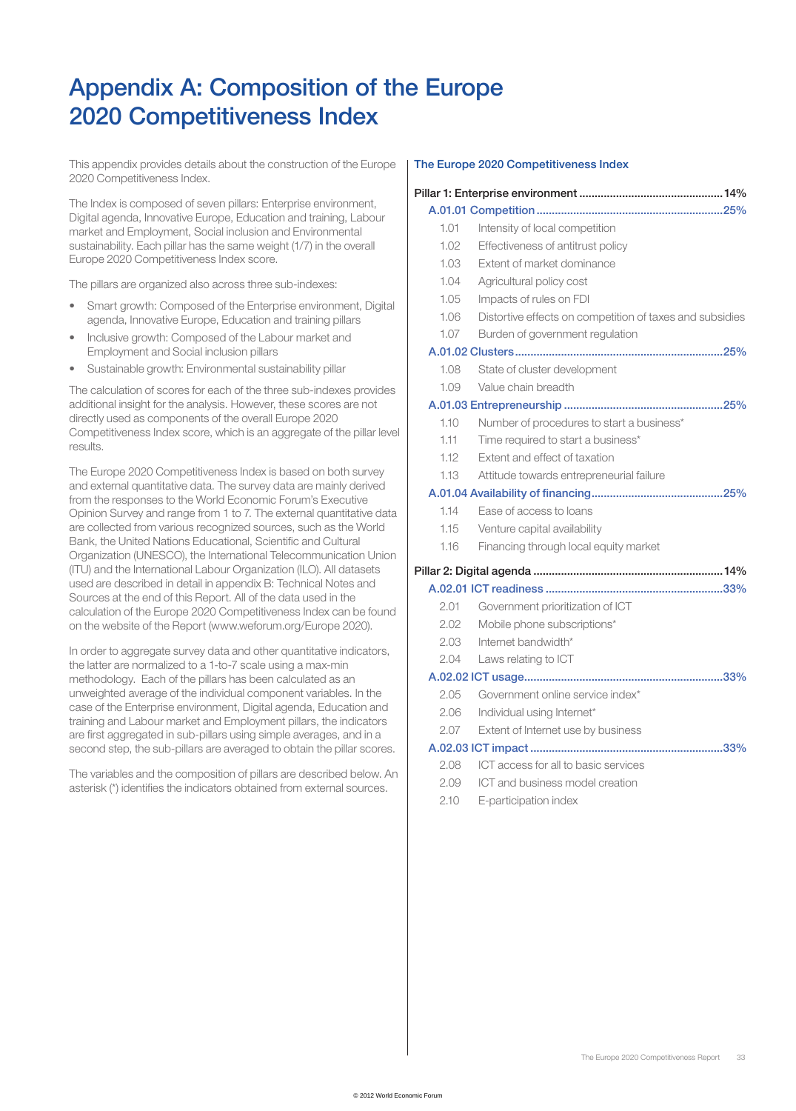# Appendix A: Composition of the Europe 2020 Competitiveness Index

This appendix provides details about the construction of the Europe 2020 Competitiveness Index.

The Index is composed of seven pillars: Enterprise environment, Digital agenda, Innovative Europe, Education and training, Labour market and Employment, Social inclusion and Environmental sustainability. Each pillar has the same weight (1/7) in the overall Europe 2020 Competitiveness Index score.

The pillars are organized also across three sub-indexes:

- Smart growth: Composed of the Enterprise environment, Digital agenda, Innovative Europe, Education and training pillars
- Inclusive growth: Composed of the Labour market and Employment and Social inclusion pillars
- Sustainable growth: Environmental sustainability pillar

The calculation of scores for each of the three sub-indexes provides additional insight for the analysis. However, these scores are not directly used as components of the overall Europe 2020 Competitiveness Index score, which is an aggregate of the pillar level results.

The Europe 2020 Competitiveness Index is based on both survey and external quantitative data. The survey data are mainly derived from the responses to the World Economic Forum's Executive Opinion Survey and range from 1 to 7. The external quantitative data are collected from various recognized sources, such as the World Bank, the United Nations Educational, Scientific and Cultural Organization (UNESCO), the International Telecommunication Union (ITU) and the International Labour Organization (ILO). All datasets used are described in detail in appendix B: Technical Notes and Sources at the end of this Report. All of the data used in the calculation of the Europe 2020 Competitiveness Index can be found on the website of the Report (www.weforum.org/Europe 2020).

In order to aggregate survey data and other quantitative indicators, the latter are normalized to a 1-to-7 scale using a max-min methodology. Each of the pillars has been calculated as an unweighted average of the individual component variables. In the case of the Enterprise environment, Digital agenda, Education and training and Labour market and Employment pillars, the indicators are first aggregated in sub-pillars using simple averages, and in a second step, the sub-pillars are averaged to obtain the pillar scores.

The variables and the composition of pillars are described below. An asterisk (\*) identifies the indicators obtained from external sources.

# The Europe 2020 Competitiveness Index

| 1.01 | Intensity of local competition                           |  |  |
|------|----------------------------------------------------------|--|--|
| 1.02 | Effectiveness of antitrust policy                        |  |  |
| 1.03 | Extent of market dominance                               |  |  |
| 1.04 | Agricultural policy cost                                 |  |  |
| 1.05 | Impacts of rules on FDI                                  |  |  |
| 1.06 | Distortive effects on competition of taxes and subsidies |  |  |
| 1.07 | Burden of government regulation                          |  |  |
|      |                                                          |  |  |
| 1.08 | State of cluster development                             |  |  |
| 1.09 | Value chain breadth                                      |  |  |
|      |                                                          |  |  |
| 1.10 | Number of procedures to start a business*                |  |  |
| 1.11 | Time required to start a business*                       |  |  |
| 1.12 | Extent and effect of taxation                            |  |  |
| 1.13 | Attitude towards entrepreneurial failure                 |  |  |
|      |                                                          |  |  |
| 1.14 | Ease of access to loans                                  |  |  |
| 1.15 | Venture capital availability                             |  |  |
| 1.16 | Financing through local equity market                    |  |  |
|      |                                                          |  |  |
|      |                                                          |  |  |
| 2.01 | Government prioritization of ICT                         |  |  |
| 2.02 | Mobile phone subscriptions*                              |  |  |
| 2.03 | Internet bandwidth*                                      |  |  |
| 2.04 | Laws relating to ICT                                     |  |  |
|      |                                                          |  |  |
| 2.05 | Government online service index*                         |  |  |
| 2.06 | Individual using Internet*                               |  |  |
| 2.07 | Extent of Internet use by business                       |  |  |
|      |                                                          |  |  |
| 2.08 | ICT access for all to basic services                     |  |  |
| 2.09 | ICT and business model creation                          |  |  |
| 2.10 | E-participation index                                    |  |  |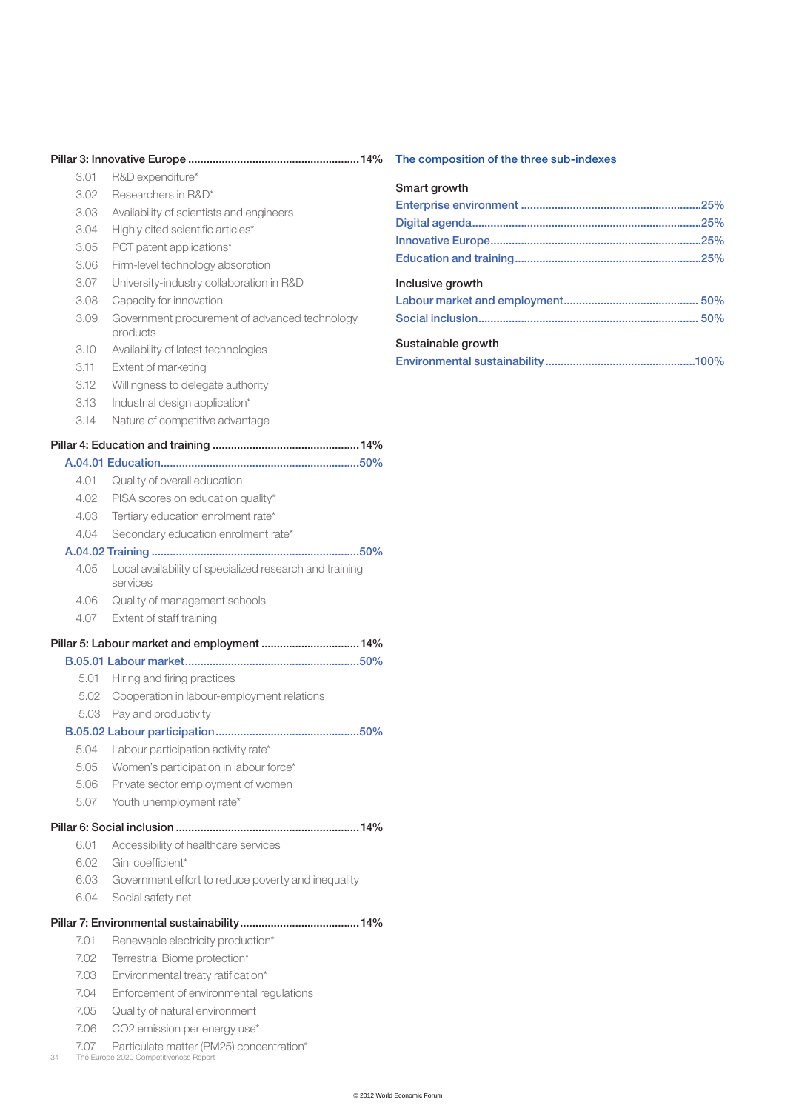|            |                                                                                    | The composition of the three sub-indexes |
|------------|------------------------------------------------------------------------------------|------------------------------------------|
| 3.01       | R&D expenditure*                                                                   |                                          |
| 3.02       | Researchers in R&D*                                                                | Smart growth                             |
| 3.03       | Availability of scientists and engineers                                           |                                          |
| 3.04       | Highly cited scientific articles*                                                  |                                          |
| 3.05       | PCT patent applications*                                                           |                                          |
| 3.06       | Firm-level technology absorption                                                   |                                          |
| 3.07       | University-industry collaboration in R&D                                           | Inclusive growth                         |
| 3.08       | Capacity for innovation                                                            |                                          |
| 3.09       | Government procurement of advanced technology<br>products                          |                                          |
| 3.10       | Availability of latest technologies                                                | Sustainable growth                       |
| 3.11       | Extent of marketing                                                                |                                          |
| 3.12       | Willingness to delegate authority                                                  |                                          |
| 3.13       | Industrial design application*                                                     |                                          |
| 3.14       | Nature of competitive advantage                                                    |                                          |
|            |                                                                                    |                                          |
|            |                                                                                    |                                          |
| 4.01       | Quality of overall education                                                       |                                          |
| 4.02       | PISA scores on education quality*                                                  |                                          |
| 4.03       | Tertiary education enrolment rate*                                                 |                                          |
| 4.04       | Secondary education enrolment rate*                                                |                                          |
|            |                                                                                    |                                          |
| 4.05       | Local availability of specialized research and training<br>services                |                                          |
| 4.06       | Quality of management schools                                                      |                                          |
| 4.07       | Extent of staff training                                                           |                                          |
|            |                                                                                    |                                          |
|            | Pillar 5: Labour market and employment  14%                                        |                                          |
| 5.01       | Hiring and firing practices                                                        |                                          |
| 5.02       | Cooperation in labour-employment relations                                         |                                          |
|            | 5.03 Pay and productivity                                                          |                                          |
|            |                                                                                    |                                          |
| 5.04       | Labour participation activity rate*                                                |                                          |
| 5.05       |                                                                                    |                                          |
| 5.06       | Women's participation in labour force*                                             |                                          |
| 5.07       | Private sector employment of women<br>Youth unemployment rate*                     |                                          |
|            |                                                                                    |                                          |
|            |                                                                                    |                                          |
| 6.01       | Accessibility of healthcare services                                               |                                          |
| 6.02       | Gini coefficient*                                                                  |                                          |
| 6.03       | Government effort to reduce poverty and inequality                                 |                                          |
| 6.04       | Social safety net                                                                  |                                          |
|            |                                                                                    |                                          |
| 7.01       | Renewable electricity production*                                                  |                                          |
| 7.02       | Terrestrial Biome protection*                                                      |                                          |
| 7.03       | Environmental treaty ratification*                                                 |                                          |
| 7.04       | Enforcement of environmental regulations                                           |                                          |
| 7.05       | Quality of natural environment                                                     |                                          |
| 7.06       | CO2 emission per energy use*                                                       |                                          |
| 7.07<br>34 | Particulate matter (PM25) concentration*<br>The Europe 2020 Competitiveness Report |                                          |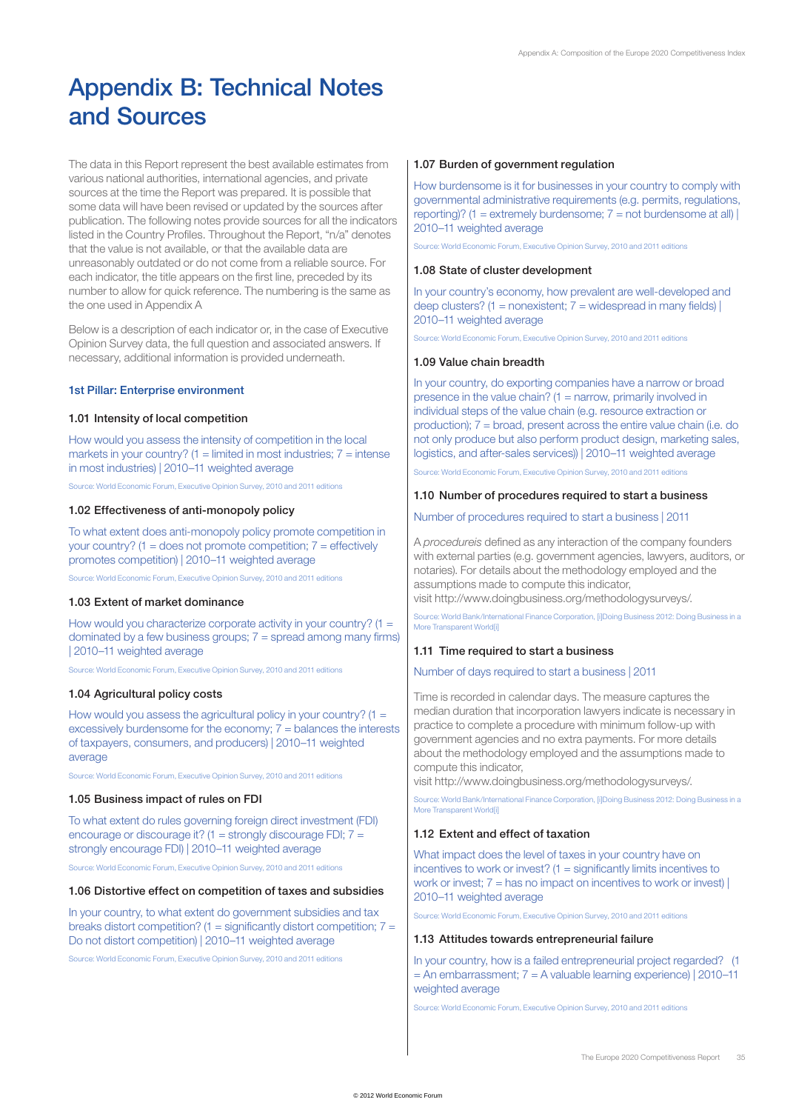# Appendix B: Technical Notes and Sources

The data in this Report represent the best available estimates from various national authorities, international agencies, and private sources at the time the Report was prepared. It is possible that some data will have been revised or updated by the sources after publication. The following notes provide sources for all the indicators listed in the Country Profiles. Throughout the Report, "n/a" denotes that the value is not available, or that the available data are unreasonably outdated or do not come from a reliable source. For each indicator, the title appears on the first line, preceded by its number to allow for quick reference. The numbering is the same as the one used in Appendix A

Below is a description of each indicator or, in the case of Executive Opinion Survey data, the full question and associated answers. If necessary, additional information is provided underneath.

# 1st Pillar: Enterprise environment

#### 1.01 Intensity of local competition

How would you assess the intensity of competition in the local markets in your country?  $(1 =$  limited in most industries;  $7 =$  intense in most industries) | 2010–11 weighted average

Source: World Economic Forum, Executive Opinion Survey, 2010 and 2011 editions

## 1.02 Effectiveness of anti-monopoly policy

To what extent does anti-monopoly policy promote competition in your country? ( $1 =$  does not promote competition;  $7 =$  effectively promotes competition) | 2010–11 weighted average

Source: World Economic Forum, Executive Opinion Survey, 2010 and 2011 editions

## 1.03 Extent of market dominance

How would you characterize corporate activity in your country?  $(1 =$ dominated by a few business groups; 7 = spread among many firms) | 2010–11 weighted average

Source: World Economic Forum, Executive Opinion Survey, 2010 and 2011 editions

## 1.04 Agricultural policy costs

How would you assess the agricultural policy in your country?  $(1 =$ excessively burdensome for the economy; 7 = balances the interests of taxpayers, consumers, and producers) | 2010–11 weighted average

Source: World Economic Forum, Executive Opinion Survey, 2010 and 2011 editions

## 1.05 Business impact of rules on FDI

To what extent do rules governing foreign direct investment (FDI) encourage or discourage it? (1 = strongly discourage FDI; 7 = strongly encourage FDI) | 2010–11 weighted average

Source: World Economic Forum, Executive Opinion Survey, 2010 and 2011 editions

#### 1.06 Distortive effect on competition of taxes and subsidies

In your country, to what extent do government subsidies and tax breaks distort competition? (1 = significantly distort competition;  $7 =$ Do not distort competition) | 2010–11 weighted average

Source: World Economic Forum, Executive Opinion Survey, 2010 and 2011 editions

#### 1.07 Burden of government regulation

How burdensome is it for businesses in your country to comply with governmental administrative requirements (e.g. permits, regulations, reporting)? (1 = extremely burdensome;  $7 =$  not burdensome at all) | 2010–11 weighted average

Source: World Economic Forum, Executive Opinion Survey, 2010 and 2011 editions

#### 1.08 State of cluster development

In your country's economy, how prevalent are well-developed and deep clusters? (1 = nonexistent;  $7$  = widespread in many fields) | 2010–11 weighted average

Source: World Economic Forum, Executive Opinion Survey, 2010 and 2011 editions

#### 1.09 Value chain breadth

In your country, do exporting companies have a narrow or broad presence in the value chain?  $(1 =$  narrow, primarily involved in individual steps of the value chain (e.g. resource extraction or production); 7 = broad, present across the entire value chain (i.e. do not only produce but also perform product design, marketing sales, logistics, and after-sales services)) | 2010–11 weighted average

ce: World Economic Forum, Executive Opinion Survey, 2010 and 2011 editions

#### 1.10 Number of procedures required to start a business

#### Number of procedures required to start a business | 2011

A *procedureis* defined as any interaction of the company founders with external parties (e.g. government agencies, lawyers, auditors, or notaries). For details about the methodology employed and the assumptions made to compute this indicator,

visit http://www.doingbusiness.org/methodologysurveys/.

Source: World Bank/International Finance Corporation, [i]Doing Business 2012: Doing Business in a More Transparent Worldfil

#### 1.11 Time required to start a business

## Number of days required to start a business | 2011

Time is recorded in calendar days. The measure captures the median duration that incorporation lawyers indicate is necessary in practice to complete a procedure with minimum follow-up with government agencies and no extra payments. For more details about the methodology employed and the assumptions made to compute this indicator,

visit http://www.doingbusiness.org/methodologysurveys/.

Source: World Bank/International Finance Corporation, [i]Doing Business 2012: Doing Business in a More Transparent World[i]

# 1.12 Extent and effect of taxation

What impact does the level of taxes in your country have on incentives to work or invest? (1 = significantly limits incentives to work or invest;  $7 =$  has no impact on incentives to work or invest)  $\vert$ 2010–11 weighted average

Source: World Economic Forum, Executive Opinion Survey, 2010 and 2011 editions

#### 1.13 Attitudes towards entrepreneurial failure

In your country, how is a failed entrepreneurial project regarded? (1  $=$  An embarrassment;  $7 = A$  valuable learning experience) | 2010–11 weighted average

Source: World Economic Forum, Executive Opinion Survey, 2010 and 2011 editions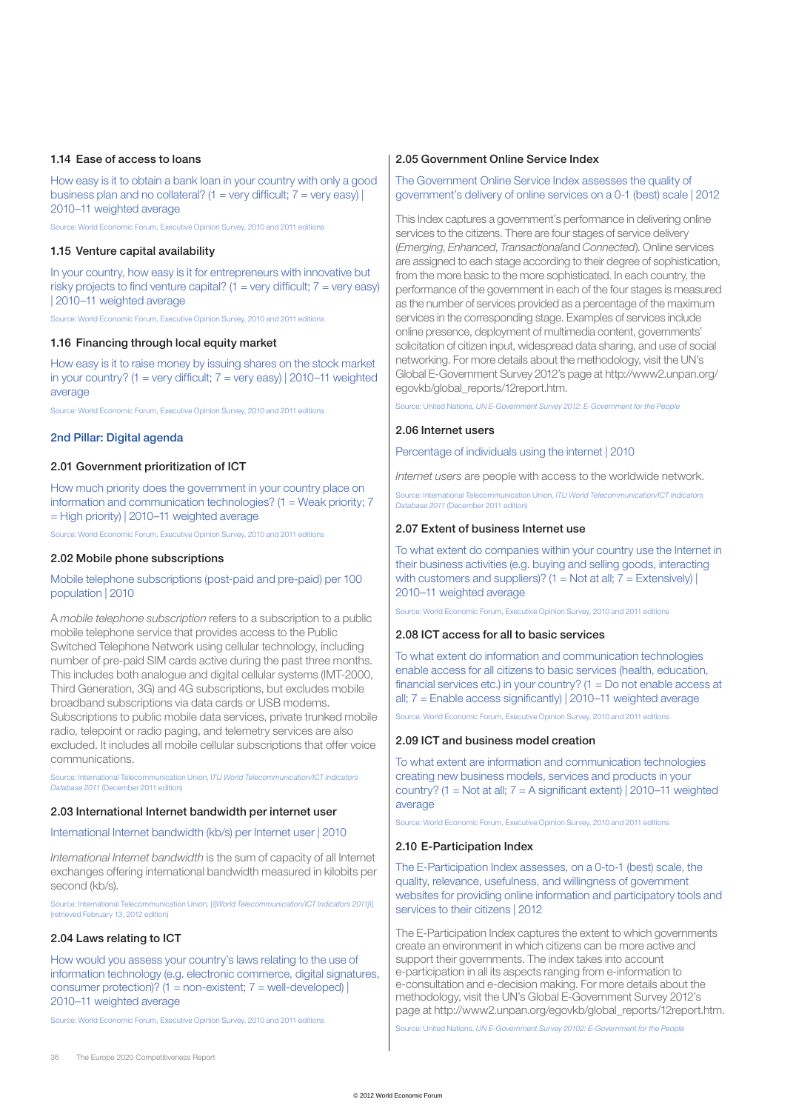## 1.14 Ease of access to loans

How easy is it to obtain a bank loan in your country with only a good business plan and no collateral? (1 = very difficult;  $7$  = very easy) | 2010–11 weighted average

Source: World Economic Forum, Executive Opinion Survey, 2010 and 2011 editions

#### 1.15 Venture capital availability

In your country, how easy is it for entrepreneurs with innovative but risky projects to find venture capital? (1 = very difficult;  $7$  = very easy) | 2010–11 weighted average

Source: World Economic Forum, Executive Opinion Survey, 2010 and 2011 editions

#### 1.16 Financing through local equity market

How easy is it to raise money by issuing shares on the stock market in your country? (1 = very difficult;  $7$  = very easy) | 2010–11 weighted average

Source: World Economic Forum, Executive Opinion Survey, 2010 and 2011 editions

# 2nd Pillar: Digital agenda

# 2.01 Government prioritization of ICT

How much priority does the government in your country place on information and communication technologies?  $(1 = \text{Weak priority}; 7)$ = High priority) | 2010–11 weighted average

Source: World Economic Forum, Executive Opinion Survey, 2010 and 2011 editions

#### 2.02 Mobile phone subscriptions

# Mobile telephone subscriptions (post-paid and pre-paid) per 100 population | 2010

A *mobile telephone subscription* refers to a subscription to a public mobile telephone service that provides access to the Public Switched Telephone Network using cellular technology, including number of pre-paid SIM cards active during the past three months. This includes both analogue and digital cellular systems (IMT-2000, Third Generation, 3G) and 4G subscriptions, but excludes mobile broadband subscriptions via data cards or USB modems. Subscriptions to public mobile data services, private trunked mobile radio, telepoint or radio paging, and telemetry services are also excluded. It includes all mobile cellular subscriptions that offer voice communications.

Source: International Telecommunication Union, I*TU World Telecommunication/ICT Indicators Database 2011* (December 2011 edition)

# 2.03 International Internet bandwidth per internet user

International Internet bandwidth (kb/s) per Internet user | 2010

*International Internet bandwidth* is the sum of capacity of all Internet exchanges offering international bandwidth measured in kilobits per second (kb/s).

Source: International Telecommunication Union, [i]*World Telecommunication/ICT Indicators 2011[*i] (retrieved February 13, 2012 edition)

#### 2.04 Laws relating to ICT

How would you assess your country's laws relating to the use of information technology (e.g. electronic commerce, digital signatures, consumer protection)? (1 = non-existent;  $7$  = well-developed) | 2010–11 weighted average

Source: World Economic Forum, Executive Opinion Survey, 2010 and 2011 editions

### 2.05 Government Online Service Index

# The Government Online Service Index assesses the quality of government's delivery of online services on a 0-1 (best) scale | 2012

This Index captures a government's performance in delivering online services to the citizens. There are four stages of service delivery (*Emerging*, *Enhanced*, *Transactional*and *Connected*). Online services are assigned to each stage according to their degree of sophistication, from the more basic to the more sophisticated. In each country, the performance of the government in each of the four stages is measured as the number of services provided as a percentage of the maximum services in the corresponding stage. Examples of services include online presence, deployment of multimedia content, governments' solicitation of citizen input, widespread data sharing, and use of social networking. For more details about the methodology, visit the UN's Global E-Government Survey 2012's page at http://www2.unpan.org/ egovkb/global\_reports/12report.htm.

Source: United Nations, *UN E-Government Survey 2012: E-Government for the People*

#### 2.06 Internet users

Percentage of individuals using the internet | 2010

*Internet users* are people with access to the worldwide network.

Source: International Telecommunication Union, *ITU World Telecommunication/ICT Indicators Database 2011* (December 2011 edition)

## 2.07 Extent of business Internet use

To what extent do companies within your country use the Internet in their business activities (e.g. buying and selling goods, interacting with customers and suppliers)? (1 = Not at all;  $7 =$  Extensively) | 2010–11 weighted average

Source: World Economic Forum, Executive Opinion Survey, 2010 and 2011 editions

# 2.08 ICT access for all to basic services

To what extent do information and communication technologies enable access for all citizens to basic services (health, education, financial services etc.) in your country?  $(1 = Do$  not enable access at all; 7 = Enable access significantly) | 2010–11 weighted average

Source: World Economic Forum, Executive Opinion Survey, 2010 and 2011 editions

## 2.09 ICT and business model creation

To what extent are information and communication technologies creating new business models, services and products in your country? (1 = Not at all; 7 = A significant extent) | 2010–11 weighted average

Source: World Economic Forum, Executive Opinion Survey, 2010 and 2011 editions

#### 2.10 E-Participation Index

The E-Participation Index assesses, on a 0-to-1 (best) scale, the quality, relevance, usefulness, and willingness of government websites for providing online information and participatory tools and services to their citizens | 2012

The E-Participation Index captures the extent to which governments create an environment in which citizens can be more active and support their governments. The index takes into account e-participation in all its aspects ranging from e-information to e-consultation and e-decision making. For more details about the methodology, visit the UN's Global E-Government Survey 2012's page at http://www2.unpan.org/egovkb/global\_reports/12report.htm.

Source: United Nations, *UN E-Government Survey 20102: E-Government for the People*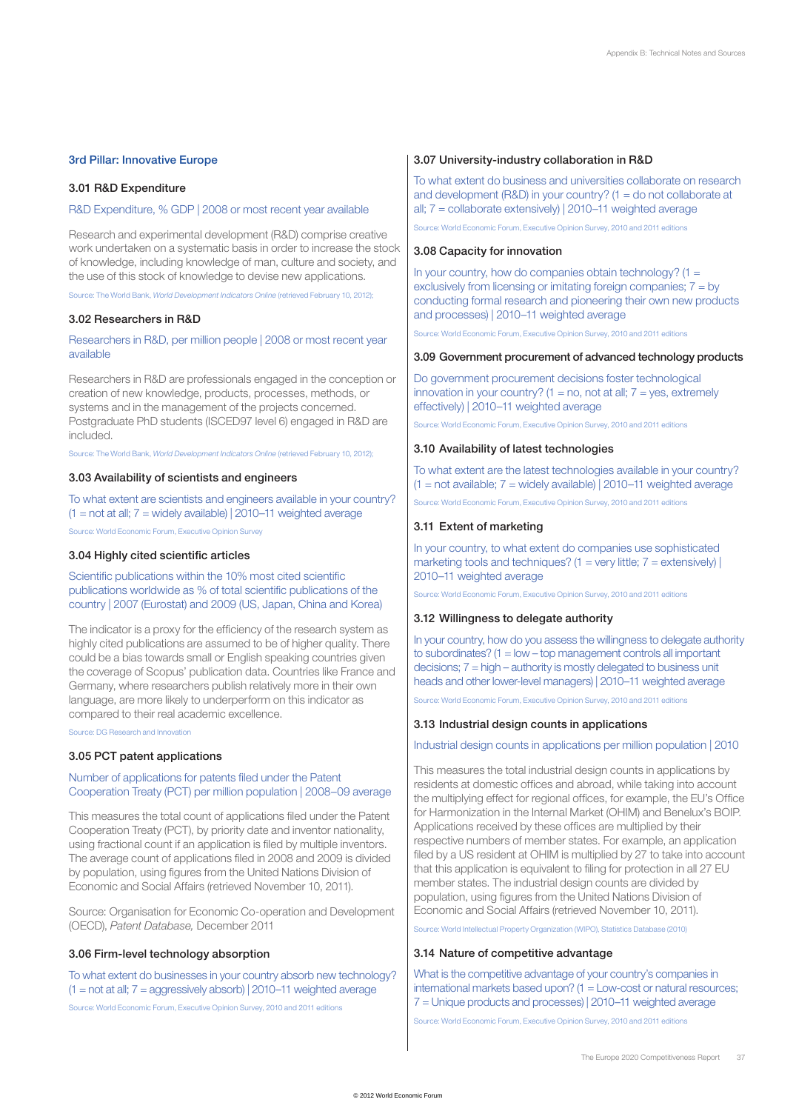## 3rd Pillar: Innovative Europe

#### 3.01 R&D Expenditure

# R&D Expenditure, % GDP | 2008 or most recent year available

Research and experimental development (R&D) comprise creative work undertaken on a systematic basis in order to increase the stock of knowledge, including knowledge of man, culture and society, and the use of this stock of knowledge to devise new applications.

Source: The World Bank, *World Development Indicators Online* (retrieved February 10, 2012);

## 3.02 Researchers in R&D

Researchers in R&D, per million people | 2008 or most recent year available

Researchers in R&D are professionals engaged in the conception or creation of new knowledge, products, processes, methods, or systems and in the management of the projects concerned. Postgraduate PhD students (ISCED97 level 6) engaged in R&D are included.

Source: The World Bank, *World Development Indicators Online* (retrieved February 10, 2012);

## 3.03 Availability of scientists and engineers

To what extent are scientists and engineers available in your country?  $(1 = not at all; 7 = widely available) | 2010-11 weighted average$ 

Source: World Economic Forum, Executive Opinion Survey

# 3.04 Highly cited scientific articles

Scientific publications within the 10% most cited scientific publications worldwide as % of total scientific publications of the country | 2007 (Eurostat) and 2009 (US, Japan, China and Korea)

The indicator is a proxy for the efficiency of the research system as highly cited publications are assumed to be of higher quality. There could be a bias towards small or English speaking countries given the coverage of Scopus' publication data. Countries like France and Germany, where researchers publish relatively more in their own language, are more likely to underperform on this indicator as compared to their real academic excellence.

Source: DG Research and Innovation

#### 3.05 PCT patent applications

# Number of applications for patents filed under the Patent Cooperation Treaty (PCT) per million population | 2008–09 average

This measures the total count of applications filed under the Patent Cooperation Treaty (PCT), by priority date and inventor nationality, using fractional count if an application is filed by multiple inventors. The average count of applications filed in 2008 and 2009 is divided by population, using figures from the United Nations Division of Economic and Social Affairs (retrieved November 10, 2011).

Source: Organisation for Economic Co-operation and Development (OECD), *Patent Database,* December 2011

#### 3.06 Firm-level technology absorption

To what extent do businesses in your country absorb new technology?  $(1 = not at all; 7 = aggregatesively absorb)$  | 2010–11 weighted average Source: World Economic Forum, Executive Opinion Survey, 2010 and 2011 editions

## 3.07 University-industry collaboration in R&D

To what extent do business and universities collaborate on research and development (R&D) in your country? ( $1 =$  do not collaborate at all; 7 = collaborate extensively) | 2010–11 weighted average

Source: World Economic Forum, Executive Opinion Survey, 2010 and 2011 editions

## 3.08 Capacity for innovation

In your country, how do companies obtain technology?  $(1 =$ exclusively from licensing or imitating foreign companies;  $7 = by$ conducting formal research and pioneering their own new products and processes) | 2010–11 weighted average

Source: World Economic Forum, Executive Opinion Survey, 2010 and 2011 editions

#### 3.09 Government procurement of advanced technology products

Do government procurement decisions foster technological innovation in your country?  $(1 = no, not at all; 7 = yes, extremely)$ effectively) | 2010–11 weighted average

Source: World Economic Forum, Executive Opinion Survey, 2010 and 2011 editions

#### 3.10 Availability of latest technologies

To what extent are the latest technologies available in your country?  $(1 = not available; 7 = widely available)$  2010–11 weighted average

Source: World Economic Forum, Executive Opinion Survey, 2010 and 2011 editions

## 3.11 Extent of marketing

In your country, to what extent do companies use sophisticated marketing tools and techniques? (1 = very little;  $7$  = extensively) | 2010–11 weighted average

Source: World Economic Forum, Executive Opinion Survey, 2010 and 2011 editions

## 3.12 Willingness to delegate authority

In your country, how do you assess the willingness to delegate authority to subordinates?  $(1 = low - top management controls all important$ decisions; 7 = high – authority is mostly delegated to business unit heads and other lower-level managers) | 2010–11 weighted average

Source: World Economic Forum, Executive Opinion Survey, 2010 and 2011 editions

#### 3.13 Industrial design counts in applications

## Industrial design counts in applications per million population | 2010

This measures the total industrial design counts in applications by residents at domestic offices and abroad, while taking into account the multiplying effect for regional offices, for example, the EU's Office for Harmonization in the Internal Market (OHIM) and Benelux's BOIP. Applications received by these offices are multiplied by their respective numbers of member states. For example, an application filed by a US resident at OHIM is multiplied by 27 to take into account that this application is equivalent to filing for protection in all 27 EU member states. The industrial design counts are divided by population, using figures from the United Nations Division of Economic and Social Affairs (retrieved November 10, 2011).

Source: World Intellectual Property Organization (WIPO), Statistics Database (2010)

# 3.14 Nature of competitive advantage

What is the competitive advantage of your country's companies in international markets based upon? (1 = Low-cost or natural resources; 7 = Unique products and processes) | 2010–11 weighted average

Source: World Economic Forum, Executive Opinion Survey, 2010 and 2011 editions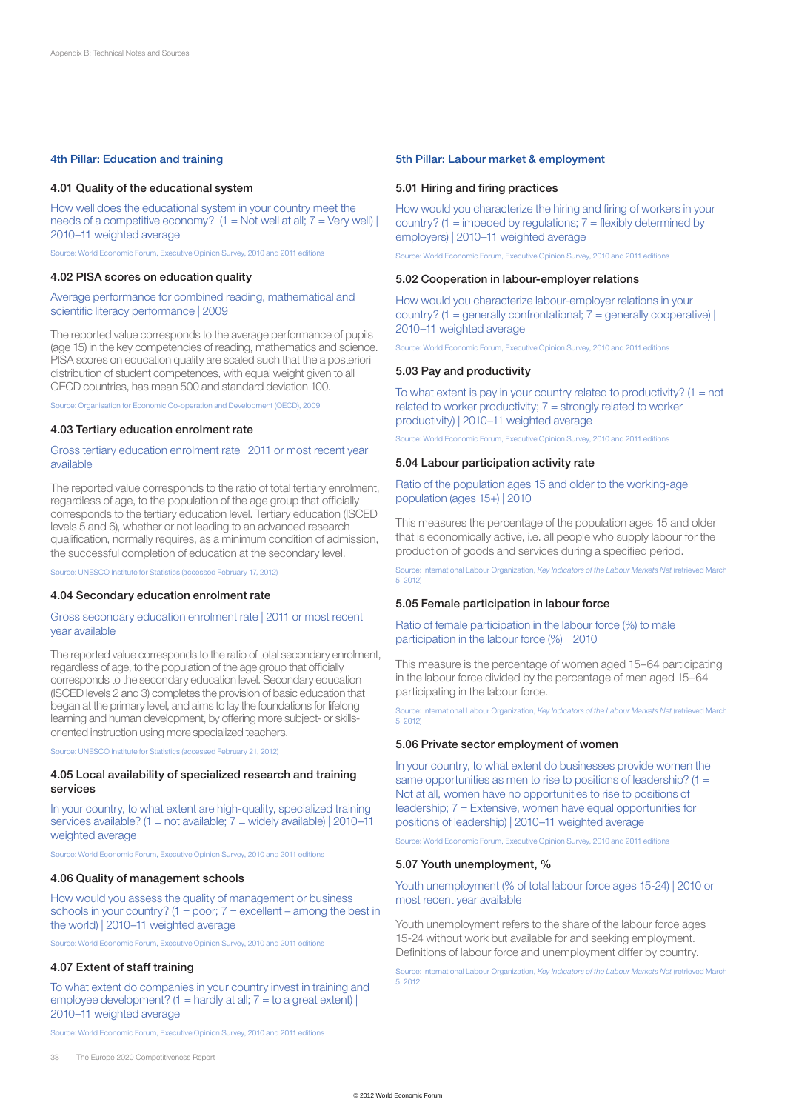## 4th Pillar: Education and training

#### 4.01 Quality of the educational system

How well does the educational system in your country meet the needs of a competitive economy?  $(1 = Not well at all; 7 = Very well)$ 2010–11 weighted average

Source: World Economic Forum, Executive Opinion Survey, 2010 and 2011 editions

#### 4.02 PISA scores on education quality

#### Average performance for combined reading, mathematical and scientific literacy performance | 2009

The reported value corresponds to the average performance of pupils (age 15) in the key competencies of reading, mathematics and science. PISA scores on education quality are scaled such that the a posteriori distribution of student competences, with equal weight given to all OECD countries, has mean 500 and standard deviation 100.

Source: Organisation for Economic Co-operation and Development (OECD), 2009

## 4.03 Tertiary education enrolment rate

#### Gross tertiary education enrolment rate | 2011 or most recent year available

The reported value corresponds to the ratio of total tertiary enrolment, regardless of age, to the population of the age group that officially corresponds to the tertiary education level. Tertiary education (ISCED levels 5 and 6), whether or not leading to an advanced research qualification, normally requires, as a minimum condition of admission, the successful completion of education at the secondary level.

Source: UNESCO Institute for Statistics (accessed February 17, 2012)

#### 4.04 Secondary education enrolment rate

#### Gross secondary education enrolment rate | 2011 or most recent year available

The reported value corresponds to the ratio of total secondary enrolment, regardless of age, to the population of the age group that officially corresponds to the secondary education level. Secondary education (ISCED levels 2 and 3) completes the provision of basic education that began at the primary level, and aims to lay the foundations for lifelong learning and human development, by offering more subject- or skillsoriented instruction using more specialized teachers.

Source: UNESCO Institute for Statistics (accessed February 21, 2012)

## 4.05 Local availability of specialized research and training services

In your country, to what extent are high-quality, specialized training services available? (1 = not available; 7 = widely available) | 2010–11 weighted average

Source: World Economic Forum, Executive Opinion Survey, 2010 and 2011 editions

## 4.06 Quality of management schools

How would you assess the quality of management or business schools in your country?  $(1 = poor; 7 = excellent - among the best in$ the world) | 2010–11 weighted average

Source: World Economic Forum, Executive Opinion Survey, 2010 and 2011 editions

#### 4.07 Extent of staff training

To what extent do companies in your country invest in training and employee development? (1 = hardly at all;  $7 =$  to a great extent) | 2010–11 weighted average

Source: World Economic Forum, Executive Opinion Survey, 2010 and 2011 editions

#### 38 The Europe 2020 Competitiveness Report

#### 5th Pillar: Labour market & employment

#### 5.01 Hiring and firing practices

How would you characterize the hiring and firing of workers in your country? (1 = impeded by regulations;  $7 =$  flexibly determined by employers) | 2010–11 weighted average

Source: World Economic Forum, Executive Opinion Survey, 2010 and 2011 editions

#### 5.02 Cooperation in labour-employer relations

How would you characterize labour-employer relations in your country? (1 = generally confrontational;  $7$  = generally cooperative) | 2010–11 weighted average

Source: World Economic Forum, Executive Opinion Survey, 2010 and 2011 editions

#### 5.03 Pay and productivity

To what extent is pay in your country related to productivity?  $(1 = not$ related to worker productivity;  $7 =$  strongly related to worker productivity) | 2010–11 weighted average

Source: World Economic Forum, Executive Opinion Survey, 2010 and 2011 editions

#### 5.04 Labour participation activity rate

#### Ratio of the population ages 15 and older to the working-age population (ages 15+) | 2010

This measures the percentage of the population ages 15 and older that is economically active, i.e. all people who supply labour for the production of goods and services during a specified period.

Source: International Labour Organization, *Key Indicators of the Labour Markets Net* (retrieved March 5, 2012)

#### 5.05 Female participation in labour force

Ratio of female participation in the labour force (%) to male participation in the labour force (%) | 2010

This measure is the percentage of women aged 15–64 participating in the labour force divided by the percentage of men aged 15–64 participating in the labour force.

Source: International Labour Organization, *Key Indicators of the Labour Markets Net* (retrieved March 5, 2012)

#### 5.06 Private sector employment of women

In your country, to what extent do businesses provide women the same opportunities as men to rise to positions of leadership? (1 = Not at all, women have no opportunities to rise to positions of leadership; 7 = Extensive, women have equal opportunities for positions of leadership) | 2010–11 weighted average

Source: World Economic Forum, Executive Opinion Survey, 2010 and 2011 editions

#### 5.07 Youth unemployment, %

## Youth unemployment (% of total labour force ages 15-24) | 2010 or most recent year available

Youth unemployment refers to the share of the labour force ages 15-24 without work but available for and seeking employment. Definitions of labour force and unemployment differ by country.

Source: International Labour Organization, *Key Indicators of the Labour Markets Net* (retrieved March 5, 2012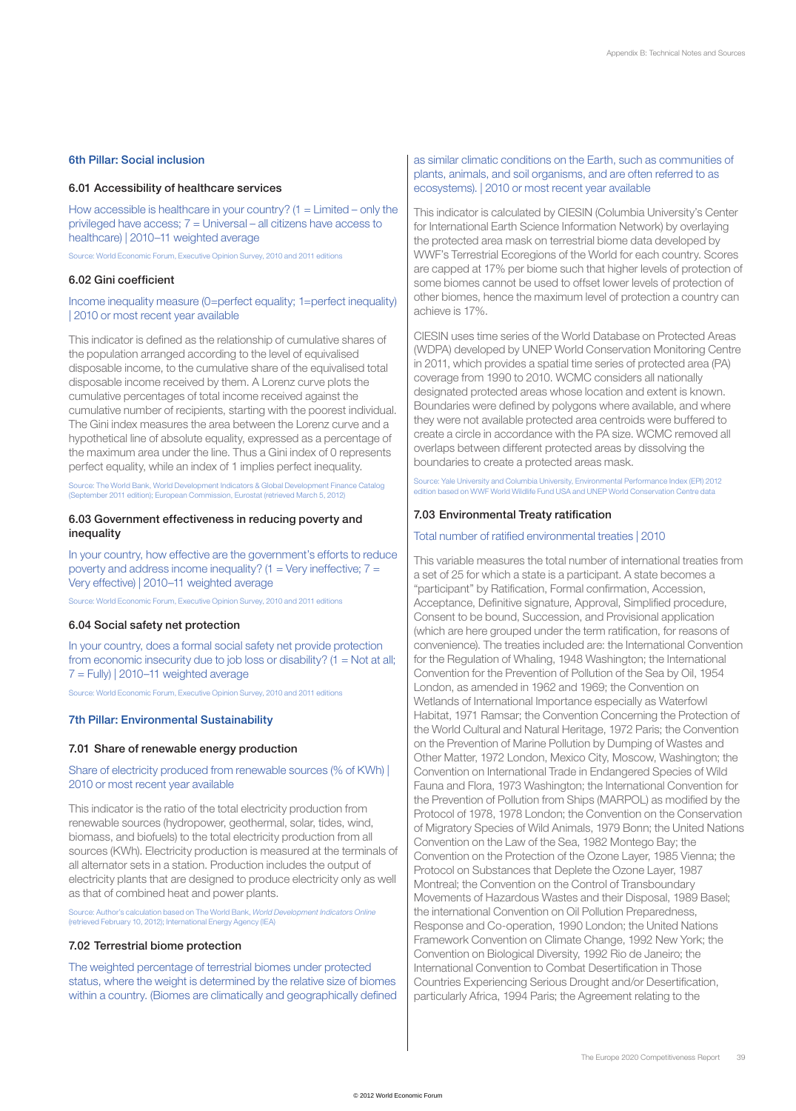## 6th Pillar: Social inclusion

#### 6.01 Accessibility of healthcare services

How accessible is healthcare in your country?  $(1 =$  Limited – only the privileged have access;  $7 =$  Universal – all citizens have access to healthcare) | 2010–11 weighted average

Source: World Economic Forum, Executive Opinion Survey, 2010 and 2011 editions

# 6.02 Gini coefficient

# Income inequality measure (0=perfect equality; 1=perfect inequality) | 2010 or most recent year available

This indicator is defined as the relationship of cumulative shares of the population arranged according to the level of equivalised disposable income, to the cumulative share of the equivalised total disposable income received by them. A Lorenz curve plots the cumulative percentages of total income received against the cumulative number of recipients, starting with the poorest individual. The Gini index measures the area between the Lorenz curve and a hypothetical line of absolute equality, expressed as a percentage of the maximum area under the line. Thus a Gini index of 0 represents perfect equality, while an index of 1 implies perfect inequality.

Source: The World Bank, World Development Indicators & Global Development Finance Catalog (September 2011 edition); European Commission, Eurostat (retrieved March 5, 2012)

## 6.03 Government effectiveness in reducing poverty and inequality

In your country, how effective are the government's efforts to reduce poverty and address income inequality? (1 = Very ineffective;  $7 =$ Very effective) | 2010–11 weighted average

Source: World Economic Forum, Executive Opinion Survey, 2010 and 2011 editions

#### 6.04 Social safety net protection

In your country, does a formal social safety net provide protection from economic insecurity due to job loss or disability?  $(1 = Not at all;$  $7 =$  Fully) | 2010–11 weighted average

Source: World Economic Forum, Executive Opinion Survey, 2010 and 2011 editions

# 7th Pillar: Environmental Sustainability

# 7.01 Share of renewable energy production

## Share of electricity produced from renewable sources (% of KWh) | 2010 or most recent year available

This indicator is the ratio of the total electricity production from renewable sources (hydropower, geothermal, solar, tides, wind, biomass, and biofuels) to the total electricity production from all sources (KWh). Electricity production is measured at the terminals of all alternator sets in a station. Production includes the output of electricity plants that are designed to produce electricity only as well as that of combined heat and power plants.

Source: Author's calculation based on The World Bank, *World Development Indicators Online* (retrieved February 10, 2012); International Energy Agency (IEA)

## 7.02 Terrestrial biome protection

The weighted percentage of terrestrial biomes under protected status, where the weight is determined by the relative size of biomes within a country. (Biomes are climatically and geographically defined

## as similar climatic conditions on the Earth, such as communities of plants, animals, and soil organisms, and are often referred to as ecosystems). | 2010 or most recent year available

This indicator is calculated by CIESIN (Columbia University's Center for International Earth Science Information Network) by overlaying the protected area mask on terrestrial biome data developed by WWF's Terrestrial Ecoregions of the World for each country. Scores are capped at 17% per biome such that higher levels of protection of some biomes cannot be used to offset lower levels of protection of other biomes, hence the maximum level of protection a country can achieve is 17%.

CIESIN uses time series of the World Database on Protected Areas (WDPA) developed by UNEP World Conservation Monitoring Centre in 2011, which provides a spatial time series of protected area (PA) coverage from 1990 to 2010. WCMC considers all nationally designated protected areas whose location and extent is known. Boundaries were defined by polygons where available, and where they were not available protected area centroids were buffered to create a circle in accordance with the PA size. WCMC removed all overlaps between different protected areas by dissolving the boundaries to create a protected areas mask.

Source: Yale University and Columbia University, Environmental Performance Index (EPI) 2012 edition based on WWF World Wildlife Fund USA and UNEP World Conservation Centre data

## 7.03 Environmental Treaty ratification

#### Total number of ratified environmental treaties | 2010

This variable measures the total number of international treaties from a set of 25 for which a state is a participant. A state becomes a "participant" by Ratification, Formal confirmation, Accession, Acceptance, Definitive signature, Approval, Simplified procedure, Consent to be bound, Succession, and Provisional application (which are here grouped under the term ratification, for reasons of convenience). The treaties included are: the International Convention for the Regulation of Whaling, 1948 Washington; the International Convention for the Prevention of Pollution of the Sea by Oil, 1954 London, as amended in 1962 and 1969; the Convention on Wetlands of International Importance especially as Waterfowl Habitat, 1971 Ramsar; the Convention Concerning the Protection of the World Cultural and Natural Heritage, 1972 Paris; the Convention on the Prevention of Marine Pollution by Dumping of Wastes and Other Matter, 1972 London, Mexico City, Moscow, Washington; the Convention on International Trade in Endangered Species of Wild Fauna and Flora, 1973 Washington; the International Convention for the Prevention of Pollution from Ships (MARPOL) as modified by the Protocol of 1978, 1978 London; the Convention on the Conservation of Migratory Species of Wild Animals, 1979 Bonn; the United Nations Convention on the Law of the Sea, 1982 Montego Bay; the Convention on the Protection of the Ozone Layer, 1985 Vienna; the Protocol on Substances that Deplete the Ozone Layer, 1987 Montreal; the Convention on the Control of Transboundary Movements of Hazardous Wastes and their Disposal, 1989 Basel; the international Convention on Oil Pollution Preparedness, Response and Co-operation, 1990 London; the United Nations Framework Convention on Climate Change, 1992 New York; the Convention on Biological Diversity, 1992 Rio de Janeiro; the International Convention to Combat Desertification in Those Countries Experiencing Serious Drought and/or Desertification, particularly Africa, 1994 Paris; the Agreement relating to the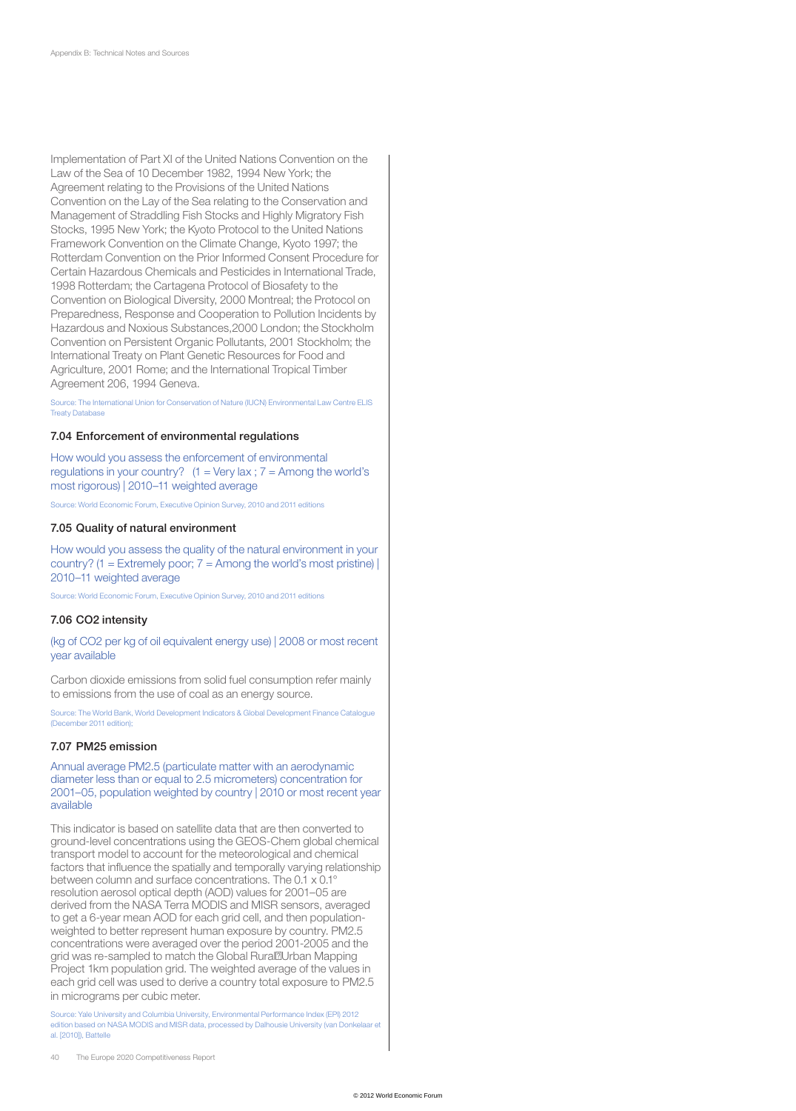Implementation of Part XI of the United Nations Convention on the Law of the Sea of 10 December 1982, 1994 New York; the Agreement relating to the Provisions of the United Nations Convention on the Lay of the Sea relating to the Conservation and Management of Straddling Fish Stocks and Highly Migratory Fish Stocks, 1995 New York; the Kyoto Protocol to the United Nations Framework Convention on the Climate Change, Kyoto 1997; the Rotterdam Convention on the Prior Informed Consent Procedure for Certain Hazardous Chemicals and Pesticides in International Trade, 1998 Rotterdam; the Cartagena Protocol of Biosafety to the Convention on Biological Diversity, 2000 Montreal; the Protocol on Preparedness, Response and Cooperation to Pollution Incidents by Hazardous and Noxious Substances,2000 London; the Stockholm Convention on Persistent Organic Pollutants, 2001 Stockholm; the International Treaty on Plant Genetic Resources for Food and Agriculture, 2001 Rome; and the International Tropical Timber Agreement 206, 1994 Geneva.

Source: The International Union for Conservation of Nature (IUCN) Environmental Law Centre ELIS Treaty Database

#### 7.04 Enforcement of environmental regulations

How would you assess the enforcement of environmental regulations in your country?  $(1 = \text{Very lax}; 7 = \text{Among the world's})$ most rigorous) | 2010–11 weighted average

Source: World Economic Forum, Executive Opinion Survey, 2010 and 2011 editions

#### 7.05 Quality of natural environment

How would you assess the quality of the natural environment in your country? (1 = Extremely poor;  $7$  = Among the world's most pristine) | 2010–11 weighted average

Source: World Economic Forum, Executive Opinion Survey, 2010 and 2011 editions

#### 7.06 CO2 intensity

(kg of CO2 per kg of oil equivalent energy use) | 2008 or most recent year available

Carbon dioxide emissions from solid fuel consumption refer mainly to emissions from the use of coal as an energy source.

Source: The World Bank, World Development Indicators & Global Development Finance Catalogue (December 2011 edition);

#### 7.07 PM25 emission

Annual average PM2.5 (particulate matter with an aerodynamic diameter less than or equal to 2.5 micrometers) concentration for 2001–05, population weighted by country | 2010 or most recent year available

This indicator is based on satellite data that are then converted to ground-level concentrations using the GEOS-Chem global chemical transport model to account for the meteorological and chemical factors that influence the spatially and temporally varying relationship between column and surface concentrations. The 0.1 x 0.1° resolution aerosol optical depth (AOD) values for 2001–05 are derived from the NASA Terra MODIS and MISR sensors, averaged to get a 6-year mean AOD for each grid cell, and then populationweighted to better represent human exposure by country. PM2.5 concentrations were averaged over the period 2001-2005 and the grid was re-sampled to match the Global Rural‐Urban Mapping Project 1km population grid. The weighted average of the values in each grid cell was used to derive a country total exposure to PM2.5 in micrograms per cubic meter.

Source: Yale University and Columbia University, Environmental Performance Index (EPI) 2012 edition based on NASA MODIS and MISR data, processed by Dalhousie University (van Donkelaar et al. [2010]), Battelle